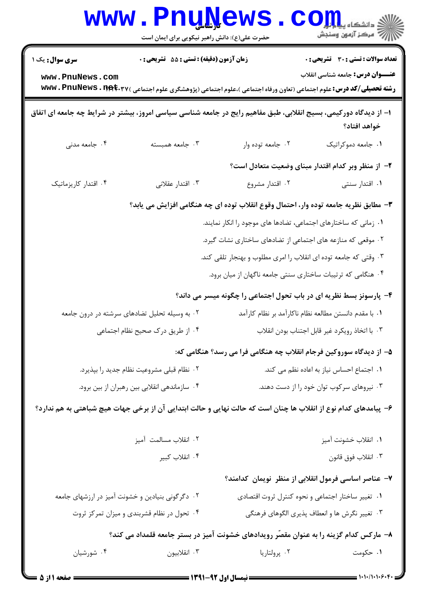|                                                                                                                  | <b>WWW.PNUN</b>                               | <b>EWS</b><br>حضرت علی(ع): دانش راهبر نیکویی برای ایمان است      | الی دانشکاه پیای <mark>ریال</mark><br>  } مرکز آزمون وسنجش                                                                                                                                                       |
|------------------------------------------------------------------------------------------------------------------|-----------------------------------------------|------------------------------------------------------------------|------------------------------------------------------------------------------------------------------------------------------------------------------------------------------------------------------------------|
| <b>سری سوال:</b> یک ۱<br>www.PnuNews.com                                                                         | زمان آزمون (دقیقه) : تستی : 55 آتشریحی : 0    |                                                                  | تعداد سوالات : تستي : 30 - تشريحي : 0<br><b>عنـــوان درس:</b> جامعه شناسی انقلاب<br><b>رشته تحصیلی/کد درس:</b> علوم اجتماعی (تعاون ورفاه اجتماعی )،علوم اجتماعی (پژوهشگری علوم اجتماعی ) www . PnuNews . 1194.۳۷ |
| ۱– از دیدگاه دورکیمی، بسیج انقلابی، طبق مفاهیم رایج در جامعه شناسی سیاسی امروز، بیشتر در شرایط چه جامعه ای اتفاق |                                               |                                                                  | خواهد افتاد؟                                                                                                                                                                                                     |
| ۰۴ جامعه مدنی                                                                                                    | ۰۳ جامعه همبسته                               | ۰۲ جامعه توده وار                                                | ٠١. جامعه دموكراتيك                                                                                                                                                                                              |
|                                                                                                                  |                                               |                                                                  | ۲– از منظر وبر کدام اقتدار مبنای وضعیت متعادل است؟                                                                                                                                                               |
| ۰۴ اقتدار کاریزماتیک                                                                                             | ۰۳ اقتدار عقلانی                              | ۰۲ اقتدار مشروع                                                  | ۰۱ اقتدار سنتی                                                                                                                                                                                                   |
|                                                                                                                  |                                               |                                                                  | ۳- مطابق نظریه جامعه توده وار، احتمال وقوع انقلاب توده ای چه هنگامی افزایش می یابد؟                                                                                                                              |
|                                                                                                                  |                                               | ۰۱ زمانی که ساختارهای اجتماعی، تضادها های موجود را انکار نمایند. |                                                                                                                                                                                                                  |
|                                                                                                                  |                                               | ۰۲ موقعی که منازعه های اجتماعی از تضادهای ساختاری نشات گیرد.     |                                                                                                                                                                                                                  |
|                                                                                                                  |                                               | ۰۳ وقتی که جامعه توده ای انقلاب را امری مطلوب و بهنجار تلقی کند. |                                                                                                                                                                                                                  |
|                                                                                                                  |                                               |                                                                  | ۰۴ هنگامی که ترتیبات ساختاری سنتی جامعه ناگهان از میان برود.                                                                                                                                                     |
|                                                                                                                  |                                               |                                                                  | ۴- پارسونز بسط نظریه ای در باب تحول اجتماعی را چگونه میسر می داند؟                                                                                                                                               |
|                                                                                                                  | ۰۲ به وسیله تحلیل تضادهای سرشته در درون جامعه |                                                                  | ٠١. با مقدم دانستن مطالعه نظام ناكارآمد بر نظام كارآمد                                                                                                                                                           |
| ٠٣ با اتخاذ رويكرد غير قابل اجتناب بودن انقلاب<br>۰۴ از طریق درک صحیح نظام اجتماعی                               |                                               |                                                                  |                                                                                                                                                                                                                  |
|                                                                                                                  |                                               |                                                                  | ۵– از دیدگاه سوروکین فرجام انقلاب چه هنگامی فرا می رسد؟ هنگامی که:                                                                                                                                               |
|                                                                                                                  | ۰۲ نظام قبلی مشروعیت نظام جدید را بپذیرد.     |                                                                  | ٠١ اجتماع احساس نياز به اعاده نظم مى كند.                                                                                                                                                                        |
|                                                                                                                  | ۰۴ سازماندهی انقلابی بین رهبران از بین برود.  |                                                                  | ۰۳ نیروهای سرکوب توان خود را از دست دهند.                                                                                                                                                                        |
| ۶– پیامدهای کدام نوع از انقلاب ها چنان است که حالت نهایی و حالت ابتدایی آن از برخی جهات هیچ شباهتی به هم ندارد؟  |                                               |                                                                  |                                                                                                                                                                                                                  |
|                                                                                                                  | ۰۲ انقلاب مسالمت آمیز                         |                                                                  | ٠١. انقلاب خشونت آميز                                                                                                                                                                                            |
|                                                                                                                  | ۰۴ انقلاب كبير                                |                                                                  | ۰۳ انقلاب فوق قانون                                                                                                                                                                                              |
|                                                                                                                  |                                               |                                                                  | ۷– عناصر اساسی فرمول انقلابی از منظر ًنویمان کدامند؟                                                                                                                                                             |
| ۰۲ دگرگونی بنیادین و خشونت آمیز در ارزشهای جامعه                                                                 |                                               |                                                                  | ۰۱ تغییر ساختار اجتماعی و نحوه کنترل ثروت اقتصادی                                                                                                                                                                |
|                                                                                                                  | ۰۴ تحول در نظام قشربندی و میزان تمرکز ثروت    |                                                                  | ۰۳ تغییر نگرش ها و انعطاف پذیری الگوهای فرهنگی                                                                                                                                                                   |
| ۸– مارکس کدام گزینه را به عنوان مقصّر رویدادهای خشونت آمیز در بستر جامعه قلمداد می کند؟                          |                                               |                                                                  |                                                                                                                                                                                                                  |
| ۰۴ شورشیان                                                                                                       | ۰۳ انقلابيون                                  | ۰۲ پرولتاريا                                                     | ۰۱ حکومت                                                                                                                                                                                                         |

 $1 - 1 - 11 - 1 - 9$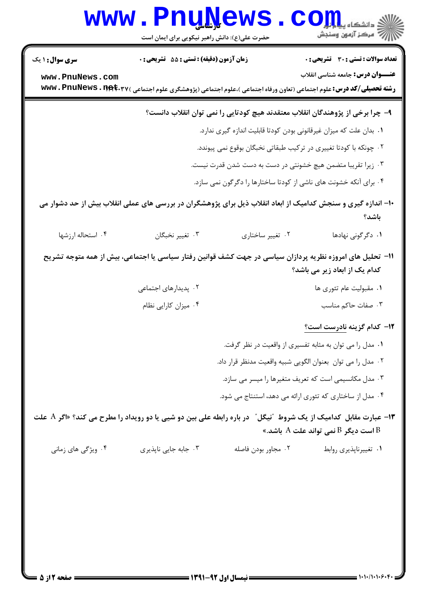|                                           | <u>www • Fuñïama</u><br>حضرت علی(ع): دانش راهبر نیکویی برای ایمان است |                     | دانشگاه پ <b>یا ب<sup>ا</sup> با با</b><br>أأأأمركز آزمون وسنجش                                                                                                                        |
|-------------------------------------------|-----------------------------------------------------------------------|---------------------|----------------------------------------------------------------------------------------------------------------------------------------------------------------------------------------|
| <b>سری سوال : ۱ یک</b><br>www.PnuNews.com | زمان آزمون (دقیقه) : تستی : 55 آتشریحی : 0                            |                     | <b>تعداد سوالات : تستی : 30 ٪ تشریحی : 0</b><br><b>عنـــوان درس:</b> جامعه شناسی انقلاب                                                                                                |
|                                           |                                                                       |                     | <b>رشته تحصیلی/کد درس:</b> علوم اجتماعی (تعاون ورفاه اجتماعی )،علوم اجتماعی (پژوهشگری علوم اجتماعی ) <b>www . PnuNews . 1194. ۲</b> ۷                                                  |
|                                           |                                                                       |                     | ۹– چرا برخی از پژوهندگان انقلاب معتقدند هیچ کودتایی را نمی توان انقلاب دانست؟                                                                                                          |
|                                           |                                                                       |                     | ۰۱ بدان علت که میزان غیرقانونی بودن کودتا قابلیت اندازه گیری ندارد.                                                                                                                    |
|                                           |                                                                       |                     | ۰۲ چونکه با کودتا تغییری در ترکیب طبقاتی نخبگان بوقوع نمی پیوندد.                                                                                                                      |
|                                           |                                                                       |                     | ۰۳ زیرا تقریبا متضمن هیچ خشونتی در دست به دست شدن قدرت نیست.                                                                                                                           |
|                                           |                                                                       |                     | ۰۴ برای آنکه خشونت های ناشی از کودتا ساختارها را دگرگون نمی سازد.                                                                                                                      |
|                                           |                                                                       |                     | ۱۰– اندازه گیری و سنجش کدامیک از ابعاد انقلاب ذیل برای پژوهشگران در بررسی های عملی انقلاب بیش از حد دشوار می<br>باشد؟                                                                  |
| ۰۴ استحاله ارزشها                         | ۰۳ تغییر نخبگان                                                       | ۰۲ تغییر ساختاری    | ۰۱ دگرگونی نهادها                                                                                                                                                                      |
|                                           |                                                                       |                     | 1۱– تحلیل های امروزه نظریه پردازان سیاسی در جهت کشف قوانین رفتار سیاسی یا اجتماعی، بیش از همه متوجه تشریح<br>کدام یک از ابعاد زیر می باشد؟                                             |
|                                           | ۰۲ پدیدارهای اجتماعی                                                  |                     | ۰۱ مقبولیت عام تئوری ها                                                                                                                                                                |
|                                           | ۰۴ میزان کارایی نظام                                                  |                     | ۰۳ صفات حاکم مناسب                                                                                                                                                                     |
|                                           |                                                                       |                     | ۱۲– کدام گزینه نادرست است؟                                                                                                                                                             |
|                                           |                                                                       |                     | ۰۱ مدل را می توان به مثابه تفسیری از واقعیت در نظر گرفت.                                                                                                                               |
|                                           |                                                                       |                     | ٠٢ مدل را مي توان بعنوان الكويي شبيه واقعيت مدنظر قرار داد.                                                                                                                            |
|                                           |                                                                       |                     | ۰۳ مدل مکانسیمی است که تعریف متغیرها را میسر می سازد.                                                                                                                                  |
|                                           |                                                                       |                     | ۰۴ مدل از ساختاری که تئوری ارائه می دهد، استنتاج می شود.                                                                                                                               |
|                                           |                                                                       |                     | ۱۳- عبارت مقابل کدامیک از یک شروط آنیگلآ آدر باره رابطه علی بین دو شیی یا دو رویداد را مطرح می کند؟ «اگر A علت<br>است دیگر $\mathrm{B}$ نمی تواند علت $\mathrm{A}$ باشد.» $\mathrm{B}$ |
| ۰۴ ویژگی های زمانی                        | ۰۳ جابه جایی ناپذیری                                                  | ٠٢ مجاور بودن فاصله | ٠١ تغييرناپذيري روابط                                                                                                                                                                  |
|                                           |                                                                       |                     |                                                                                                                                                                                        |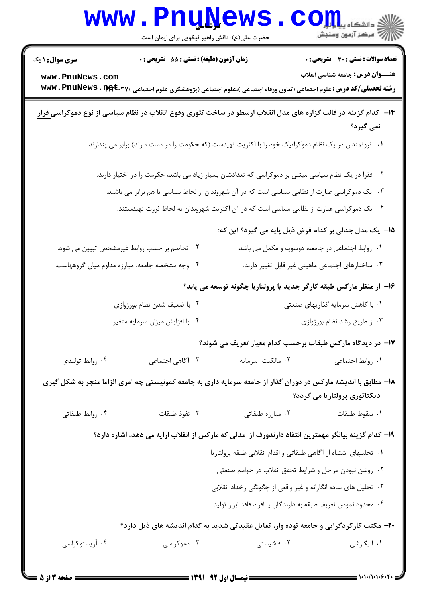|                                           | www.PnuNews<br>حضرت علی(ع): دانش راهبر نیکویی برای ایمان است                                                                                                                                                                                                                                     |                  | الله دانشکاه پیام اور C<br>الله عرکز آزمهن وسنجش                                                                                                                                                                                                                 |
|-------------------------------------------|--------------------------------------------------------------------------------------------------------------------------------------------------------------------------------------------------------------------------------------------------------------------------------------------------|------------------|------------------------------------------------------------------------------------------------------------------------------------------------------------------------------------------------------------------------------------------------------------------|
| <b>سری سوال :</b> ۱ یک<br>www.PnuNews.com | زمان آزمون (دقیقه) : تستی : 55 آتشریحی : 0<br><b>رشته تحصیلی/کد درس:</b> علوم اجتماعی (تعاون ورفاه اجتماعی )،علوم اجتماعی (پژوهشگری علوم اجتماعی ) <b>www . PnuNews . 1194.۳</b> ۷                                                                                                               |                  | <b>تعداد سوالات : تستی : 30 ٪ تشریحی : 0</b><br><b>عنـــوان درس:</b> جامعه شناسی انقلاب                                                                                                                                                                          |
|                                           | ۱۴– کدام گزینه در قالب گزاره های مدل انقلاب ارسطو در ساخت تئوری وقوع انقلاب در نظام سیاسی از نوع دموکراس <u>ی قرار</u><br>۰۱ ثروتمندان در یک نظام دموکراتیک خود را با اکثریت تهیدست (که حکومت را در دست دارند) برابر می پندارند.                                                                 |                  | <u>نمی گیرد؟</u>                                                                                                                                                                                                                                                 |
|                                           | ۰۲ فقرا در یک نظام سیاسی مبتنی بر دموکراسی که تعدادشان بسیار زیاد می باشد، حکومت را در اختیار دارند.<br>۰۳ یک دموکراسی عبارت از نظامی سیاسی است که در آن شهروندان از لحاظ سیاسی با هم برابر می باشند.<br>۰۴ یک دموکراسی عبارت از نظامی سیاسی است که در آن اکثریت شهروندان به لحاظ ثروت تهیدستند. |                  |                                                                                                                                                                                                                                                                  |
|                                           | ۲. تخاصم بر حسب روابط غیرمشخص تبیین می شود.<br>۰۴ وجه مشخصه جامعه، مبارزه مداوم میان گروههاست.                                                                                                                                                                                                   |                  | ۱۵– یک مدل جدلی بر کدام فرض ذیل پایه می گیرد؟ این که:<br>۰۱ روابط اجتماعی در جامعه، دوسویه و مکمل می باشد.<br>۰۳ ساختارهای اجتماعی ماهیتی غیر قابل تغییر دارند.                                                                                                  |
|                                           | ۰۲ با ضعیف شدن نظام بورژوازی<br>۰۴ با افزایش میزان سرمایه متغیر                                                                                                                                                                                                                                  |                  | ۱۶– از منظر مارکس طبقه کارگر جدید یا پرولتاریا چگونه توسعه می یابد؟<br>۰۱ با کاهش سرمایه گذاریهای صنعتی<br>۰۳ از طریق رشد نظام بورژوازی                                                                                                                          |
| ۰۴ روابط توليدي                           | ۰۳ آگاهی اجتماعی                                                                                                                                                                                                                                                                                 | ٠٢ مالكيت سرمايه | ۱۷– در دیدگاه مارکس طبقات برحسب کدام معیار تعریف می شوند؟<br>۰۱ روابط اجتماعی                                                                                                                                                                                    |
| ۰۴ روابط طبقاتي                           | ۱۸– مطابق با اندیشه مارکس در دوران گذار از جامعه سرمایه داری به جامعه کمونیستی چه امری الزاما منجر به شکل گیری<br>۰۳ نفوذ طبقات                                                                                                                                                                  | ۰۲ مبارزه طبقاتی | دیکتاتوری پرولتاریا می گردد؟<br>٠١. سقوط طبقات                                                                                                                                                                                                                   |
|                                           | ۱۹– کدام گزینه بیانگر مهمترین انتقاد دارندورف از ًمدلی که مارکس از انقلاب ارایه می دهد، اشاره دارد؟                                                                                                                                                                                              |                  | ٠١ تحليلهاى اشتباه از آگاهى طبقاتى و اقدام انقلابى طبقه پرولتاريا<br>۰۲ روشن نبودن مراحل و شرايط تحقق انقلاب در جوامع صنعتى<br>۰۳ تحلیل های ساده انگارانه و غیر واقعی از چگونگی رخداد انقلابی<br>۰۴ محدود نمودن تعريف طبقه به دارندگان يا افراد فاقد ابزار توليد |
| ۰۴ آریستوکراسی                            | ۰۳ دموکراسی                                                                                                                                                                                                                                                                                      | ۰۲ فاشیستی       | +۲- مکتب کارکردگرایی و جامعه توده وار، تمایل عقیدتی شدید به کدام اندیشه های ذیل دارد؟<br>۰۱ الیگارشی                                                                                                                                                             |

 $=$  1+1+/1+1+6+1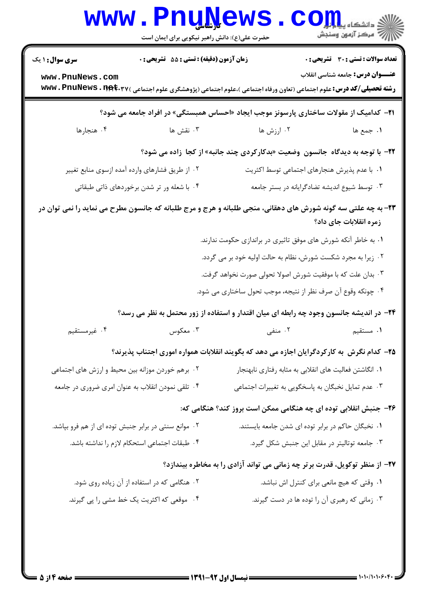|                                                      | حضرت علی(ع): دانش راهبر نیکویی برای ایمان است                               | www.PnuNews                                                                                                                            | الاد دانشگاه پیا در <mark>کر</mark><br>الا دانشگاه پیا در کن |
|------------------------------------------------------|-----------------------------------------------------------------------------|----------------------------------------------------------------------------------------------------------------------------------------|--------------------------------------------------------------|
| <b>سری سوال : ۱ یک</b>                               | زمان آزمون (دقیقه) : تستی : 55 آتشریحی : 0                                  |                                                                                                                                        | <b>تعداد سوالات : تستی : 30 - تشریحی : 0</b>                 |
| www.PnuNews.com                                      |                                                                             | <b>رشته تحصیلی/کد درس:</b> علوم اجتماعی (تعاون ورفاه اجتماعی )،علوم اجتماعی (پژوهشگری علوم اجتماعی ) <b>\ www . PnuNews . 1194</b> .۳۷ | <b>عنـــوان درس:</b> جامعه شناسی انقلاب                      |
|                                                      |                                                                             | <b>۳۱</b> - کدامیک از مقولات ساختاری پارسونز موجب ایجاد «احساس همبستگی» در افراد جامعه می شود؟                                         |                                                              |
| ۰۴ هنجارها                                           | ۰۳ نقش ها                                                                   | ۰۲ ارزش ها                                                                                                                             | ١. جمع ها                                                    |
|                                                      |                                                                             | <b>۲۲</b> - با توجه به دیدگاه جانسون وضعیت «بدکارکردی چند جانبه» از کجا زاده می شود؟                                                   |                                                              |
|                                                      | ۰۲ از طریق فشارهای وارده آمده ازسوی منابع تغییر                             | ٠١. با عدم پذيرش هنجارهاي اجتماعي توسط اكثريت                                                                                          |                                                              |
|                                                      | ۰۴ با شعله ور تر شدن برخوردهای ذاتی طبقاتی                                  | ۰۳ توسط شیوع اندیشه تضادگرایانه در بستر جامعه                                                                                          |                                                              |
|                                                      |                                                                             | ۲۳- به چه علتی سه گونه شورش های دهقانی، منجی طلبانه و هرج و مرج طلبانه که جانسون مطرح می نماید را نمی توان در                          | زمره انقلابات جای داد؟                                       |
|                                                      |                                                                             | ۰۱ به خاطر آنکه شورش های موفق تاثیری در براندازی حکومت ندارند.                                                                         |                                                              |
|                                                      |                                                                             | ۰۲ زیرا به مجرد شکست شورش، نظام به حالت اولیه خود بر می گردد.                                                                          |                                                              |
|                                                      |                                                                             | ۰۳ بدان علت که با موفقیت شورش اصولا تحولی صورت نخواهد گرفت.                                                                            |                                                              |
|                                                      |                                                                             | ۰۴ چونکه وقوع آن صرف نظر از نتیجه، موجب تحول ساختاری می شود.                                                                           |                                                              |
|                                                      |                                                                             | ۲۴– در اندیشه جانسون وجود چه رابطه ای میان اقتدار و استفاده از زور محتمل به نظر می رسد؟                                                |                                                              |
| ۴. غیرمستقیم                                         | ۰۳ معکوس                                                                    | ۰۲ منفی منفی                                                                                                                           | ۰۱ مستقیم                                                    |
|                                                      |                                                                             | ۲۵– کدام نگرش به کارکردگرایان اجازه می دهد که بگویند انقلابات همواره اموری اجتناب پذیرند؟                                              |                                                              |
| ۰۲ برهم خوردن موزانه بین محیط و ارزش های اجتماعی     |                                                                             | ۰۱ انگاشتن فعالیت های انقلابی به مثابه رفتاری نابهنجار                                                                                 |                                                              |
| ۰۴ تلقی نمودن انقلاب به عنوان امری ضروری در جامعه    |                                                                             | ۰۳ عدم تمایل نخبگان به پاسخگویی به تغییرات اجتما <i>ع</i> ی                                                                            |                                                              |
|                                                      |                                                                             | ۲۶– جنبش انقلابی توده ای چه هنگامی ممکن است بروز کند؟ هنگامی که:                                                                       |                                                              |
| ۰۲ موانع سنتی در برابر جنبش توده ای از هم فرو بپاشد. |                                                                             | ۰۱ نخبگان حاکم در برابر توده ای شدن جامعه بایستند.                                                                                     |                                                              |
|                                                      | ۰۴ طبقات اجتماعی استحکام لازم را نداشته باشد.                               | ۰۳ جامعه توتالیتر در مقابل این جنبش شکل گیرد.                                                                                          |                                                              |
|                                                      | ۲۷- از منظر توکویل، قدرت برتر چه زمانی می تواند آزادی را به مخاطره بیندازد؟ |                                                                                                                                        |                                                              |
|                                                      | ۰۲ هنگامی که در استفاده از آن زیاده روی شود.                                |                                                                                                                                        | ٠١ وقتى كه هيچ مانعى براى كنترل اش نباشد.                    |
|                                                      | ۰۴ موقعی که اکثریت یک خط مشی را پی گیرند.                                   | ۰۳ زمانی که رهبری آن را توده ها در دست گیرند.                                                                                          |                                                              |